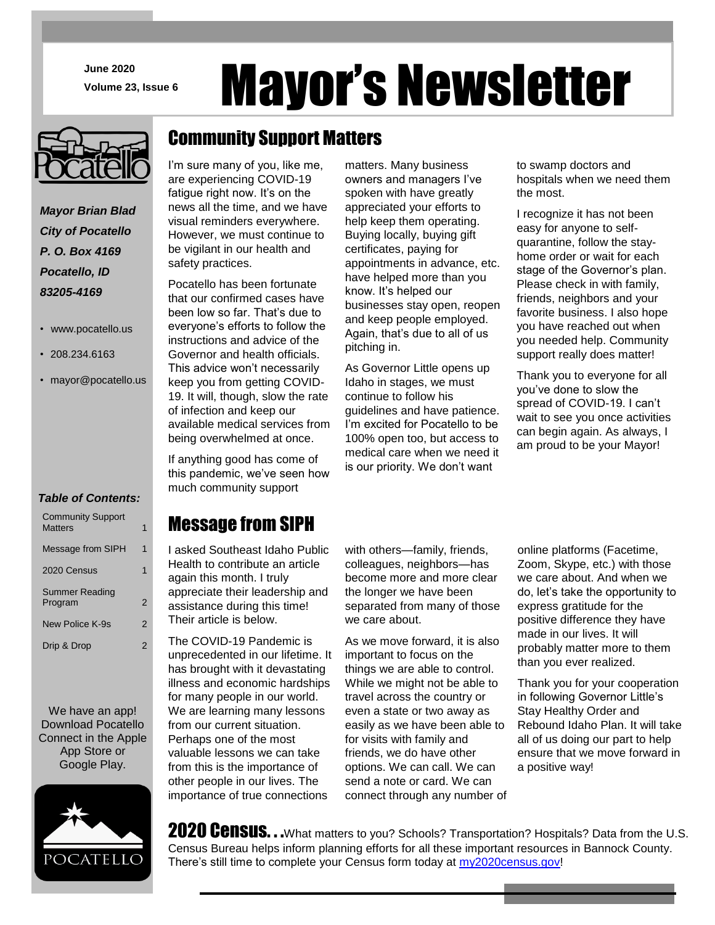**June 2020**

# June 2020<br>Volume 23, Issue 6 Mayor's Newsletter

matters. Many business

# Community Support Matters

I'm sure many of you, like me,

are experiencing COVID-19 fatigue right now. It's on the news all the time, and we have visual reminders everywhere. However, we must continue to be vigilant in our health and safety practices.

> Pocatello has been fortunate that our confirmed cases have been low so far. That's due to everyone's efforts to follow the instructions and advice of the Governor and health officials. This advice won't necessarily keep you from getting COVID-19. It will, though, slow the rate of infection and keep our available medical services from being overwhelmed at once.

> If anything good has come of this pandemic, we've seen how much community support

owners and managers I've spoken with have greatly appreciated your efforts to help keep them operating. Buying locally, buying gift certificates, paying for appointments in advance, etc. have helped more than you know. It's helped our businesses stay open, reopen and keep people employed. Again, that's due to all of us pitching in.

As Governor Little opens up Idaho in stages, we must continue to follow his guidelines and have patience. I'm excited for Pocatello to be 100% open too, but access to medical care when we need it is our priority. We don't want

to swamp doctors and hospitals when we need them the most.

I recognize it has not been easy for anyone to selfquarantine, follow the stayhome order or wait for each stage of the Governor's plan. Please check in with family, friends, neighbors and your favorite business. I also hope you have reached out when you needed help. Community support really does matter!

Thank you to everyone for all you've done to slow the spread of COVID-19. I can't wait to see you once activities can begin again. As always, I am proud to be your Mayor!

Message from SIPH

I asked Southeast Idaho Public Health to contribute an article again this month. I truly appreciate their leadership and assistance during this time! Their article is below.

The COVID-19 Pandemic is unprecedented in our lifetime. It has brought with it devastating illness and economic hardships for many people in our world. We are learning many lessons from our current situation. Perhaps one of the most valuable lessons we can take from this is the importance of other people in our lives. The

importance of true connections

with others—family, friends, colleagues, neighbors—has become more and more clear the longer we have been separated from many of those we care about.

As we move forward, it is also important to focus on the things we are able to control. While we might not be able to travel across the country or even a state or two away as easily as we have been able to for visits with family and friends, we do have other options. We can call. We can send a note or card. We can connect through any number of online platforms (Facetime, Zoom, Skype, etc.) with those we care about. And when we do, let's take the opportunity to express gratitude for the positive difference they have made in our lives. It will probably matter more to them than you ever realized.

Thank you for your cooperation in following Governor Little's Stay Healthy Order and Rebound Idaho Plan. It will take all of us doing our part to help ensure that we move forward in a positive way!

2020 Census. . .What matters to you? Schools? Transportation? Hospitals? Data from the U.S. Census Bureau helps inform planning efforts for all these important resources in Bannock County. There's still time to complete your Census form today at [my2020census.gov!](http://www.my2020census.gov/)



*Mayor Brian Blad City of Pocatello P. O. Box 4169 Pocatello, ID 83205-4169*

- www.pocatello.us
- 208.234.6163
- mayor@pocatello.us

### *Table of Contents:*

| <b>Community Support</b><br><b>Matters</b> | 1 |
|--------------------------------------------|---|
| Message from SIPH                          | 1 |
| 2020 Census                                | 1 |
| <b>Summer Reading</b><br>Program           | 2 |
| New Police K-9s                            | 2 |
| Drip & Drop                                | 2 |
|                                            |   |

We have an app! Download Pocatello Connect in the Apple App Store or Google Play.